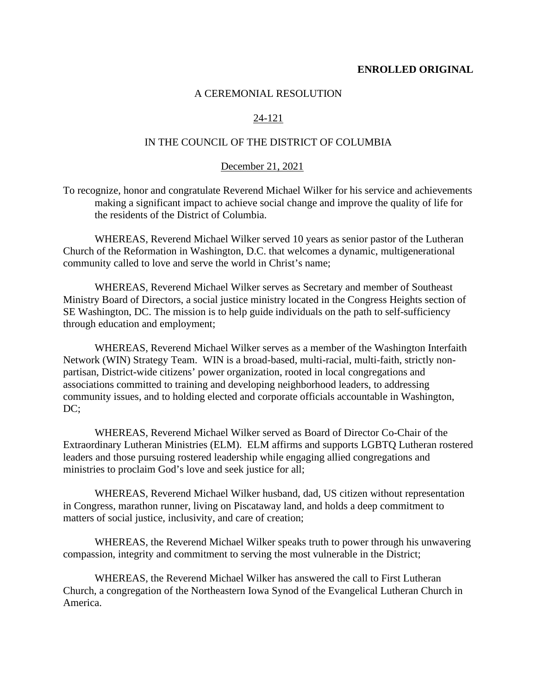### **ENROLLED ORIGINAL**

### A CEREMONIAL RESOLUTION

# 24-121

# IN THE COUNCIL OF THE DISTRICT OF COLUMBIA

#### December 21, 2021

To recognize, honor and congratulate Reverend Michael Wilker for his service and achievements making a significant impact to achieve social change and improve the quality of life for the residents of the District of Columbia.

WHEREAS, Reverend Michael Wilker served 10 years as senior pastor of the Lutheran Church of the Reformation in Washington, D.C. that welcomes a dynamic, multigenerational community called to love and serve the world in Christ's name;

WHEREAS, Reverend Michael Wilker serves as Secretary and member of Southeast Ministry Board of Directors, a social justice ministry located in the Congress Heights section of SE Washington, DC. The mission is to help guide individuals on the path to self-sufficiency through education and employment;

WHEREAS, Reverend Michael Wilker serves as a member of the Washington Interfaith Network (WIN) Strategy Team. WIN is a broad-based, multi-racial, multi-faith, strictly nonpartisan, District-wide citizens' power organization, rooted in local congregations and associations committed to training and developing neighborhood leaders, to addressing community issues, and to holding elected and corporate officials accountable in Washington, DC;

WHEREAS, Reverend Michael Wilker served as Board of Director Co-Chair of the Extraordinary Lutheran Ministries (ELM). ELM affirms and supports LGBTQ Lutheran rostered leaders and those pursuing rostered leadership while engaging allied congregations and ministries to proclaim God's love and seek justice for all;

WHEREAS, Reverend Michael Wilker husband, dad, US citizen without representation in Congress, marathon runner, living on Piscataway land, and holds a deep commitment to matters of social justice, inclusivity, and care of creation;

WHEREAS, the Reverend Michael Wilker speaks truth to power through his unwavering compassion, integrity and commitment to serving the most vulnerable in the District;

WHEREAS, the Reverend Michael Wilker has answered the call to First Lutheran Church, a congregation of the Northeastern Iowa Synod of the Evangelical Lutheran Church in America.